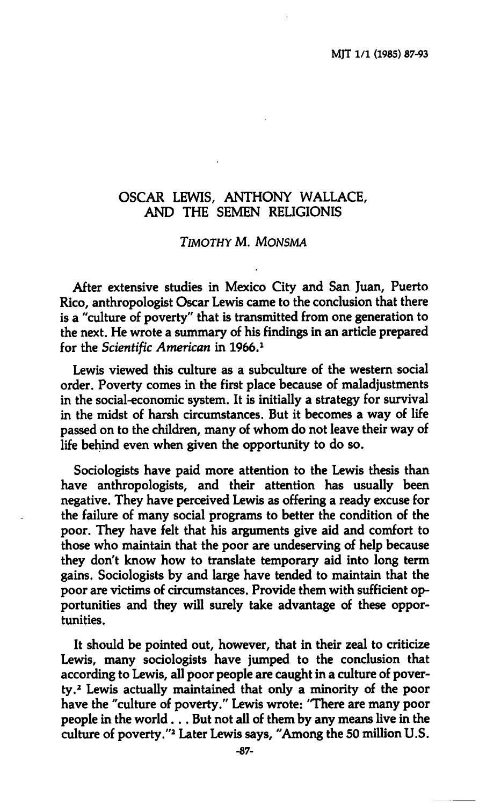# **OSCAR LEWIS, ANTHONY WALLACE, AND THE SEMEN RELIGIONE**

# *TIMOTHY* **M.** *MONSMA*

**After extensive studies in Mexico City and San Juan, Puerto Rico, anthropologist Oscar Lewis came to the conclusion that there is a "culture of poverty" that is transmitted from one generation to the next. He wrote a summary of his findings in an article prepared for the** *Scientific American* **in 1966.<sup>1</sup>**

**Lewis viewed this culture as a subculture of the western social order. Poverty comes in the first place because of maladjustments in the social-economic system. It is initially a strategy for survival in the midst of harsh circumstances. But it becomes a way of life passed on to the children, many of whom do not leave their way of life behind even when given the opportunity to do so.** 

**Sociologists have paid more attention to the Lewis thesis than have anthropologists, and their attention has usually been negative. They have perceived Lewis as offering a ready excuse for the failure of many social programs to better the condition of the poor. They have felt that his arguments give aid and comfort to those who maintain that the poor are undeserving of help because they don't know how to translate temporary aid into long term gains. Sociologists by and large have tended to maintain that the poor are victims of circumstances. Provide them with sufficient opportunities and they will surely take advantage of these opportunities.** 

**It should be pointed out, however, that in their zeal to criticize Lewis, many sociologists have jumped to the conclusion that according to Lewis, all poor people are caught in a culture of poverty.<sup>2</sup> Lewis actually maintained that only a minority of the poor have the "culture of poverty." Lewis wrote: 'There are many poor people in the world. .. But not all of them by any means live in the culture of poverty."<sup>2</sup> Later Lewis says, "Among the 50 million U.S.**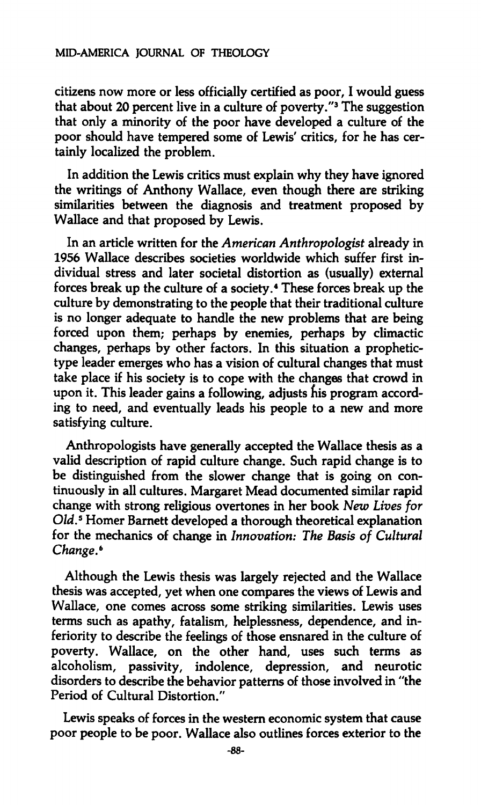#### **MID-AMERICA JOURNAL OF THEOLOGY**

**citizens now more or less officially certified as poor, I would guess that about 20 percent live in a culture of poverty."<sup>3</sup> The suggestion that only a minority of the poor have developed a culture of the poor should have tempered some of Lewis' critics, for he has certainly localized the problem.** 

**In addition the Lewis critics must explain why they have ignored the writings of Anthony Wallace, even though there are striking similarities between the diagnosis and treatment proposed by Wallace and that proposed by Lewis.** 

**In an article written for the** *Amencan Anthropologist* **already in 1956 Wallace describes societies worldwide which suffer first individual stress and later societal distortion as (usually) external forces break up the culture of a society.<sup>4</sup> These forces break up the culture by demonstrating to the people that their traditional culture is no longer adequate to handle the new problems that are being forced upon them; perhaps by enemies, perhaps by climactic changes, perhaps by other factors. In this situation a prophetictype leader emerges who has a vision of cultural changes that must take place if his society is to cope with the changes that crowd in upon it. This leader gains a following, adjusts his program according to need, and eventually leads his people to a new and more satisfying culture.** 

**Anthropologists have generally accepted the Wallace thesis as a valid description of rapid culture change. Such rapid change is to be distinguished from the slower change that is going on continuously in all cultures. Margaret Mead documented similar rapid change with strong religious overtones in her book** *New Lives for Old.<sup>5</sup>*  **Homer Barnett developed a thorough theoretical explanation for the mechanics of change in** *Innovation: The Basis of Cultural Change.<sup>6</sup>*

**Although the Lewis thesis was largely rejected and the Wallace thesis was accepted, yet when one compares the views of Lewis and Wallace, one comes across some striking similarities. Lewis uses terms such as apathy, fatalism, helplessness, dependence, and inferiority to describe the feelings of those ensnared in the culture of poverty. Wallace, on the other hand, uses such terms as alcoholism, passivity, indolence, depression, and neurotic disorders to describe the behavior patterns of those involved in "the Period of Cultural Distortion."** 

**Lewis speaks of forces in the western economic system that cause poor people to be poor. Wallace also outlines forces exterior to the**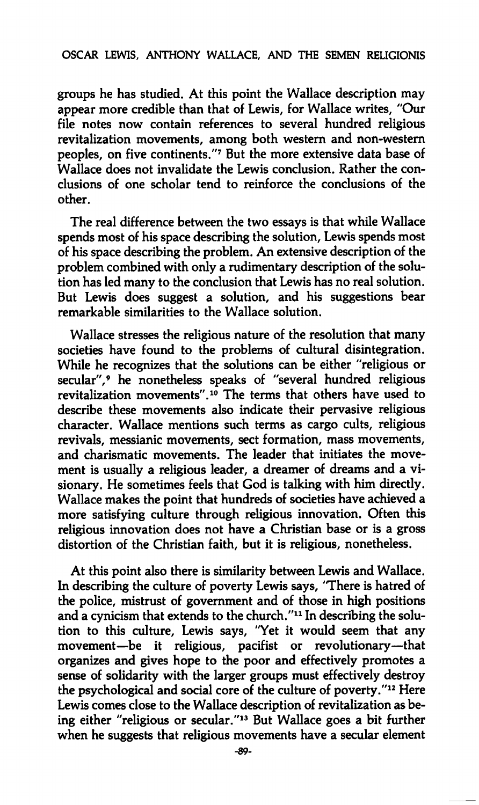# **OSCAR LEWIS, ANTHONY WALLACE, AND THE SEMEN RELIGIONIS**

**groups he has studied. At this point the Wallace description may appear more credible than that of Lewis, for Wallace writes, "Our file notes now contain references to several hundred religious revitalization movements, among both western and non-western peoples, on five continents."<sup>7</sup> But the more extensive data base of Wallace does not invalidate the Lewis conclusion. Rather the conclusions of one scholar tend to reinforce the conclusions of the other.** 

**The real difference between the two essays is that while Wallace spends most of his space describing the solution, Lewis spends most of his space describing the problem. An extensive description of the problem combined with only a rudimentary description of the solution has led many to the conclusion that Lewis has no real solution. But Lewis does suggest a solution, and his suggestions bear remarkable similarities to the Wallace solution.** 

**Wallace stresses the religious nature of the resolution that many societies have found to the problems of cultural disintegration. While he recognizes that the solutions can be either "religious or secular",<sup>9</sup> he nonetheless speaks of "several hundred religious revitalization movements".<sup>10</sup> The terms that others have used to describe these movements also indicate their pervasive religious character. Wallace mentions such terms as cargo cults, religious revivals, messianic movements, sect formation, mass movements, and charismatic movements. The leader that initiates the movement is usually a religious leader, a dreamer of dreams and a visionary. He sometimes feels that God is talking with him directly. Wallace makes the point that hundreds of societies have achieved a more satisfying culture through religious innovation. Often this religious innovation does not have a Christian base or is a gross distortion of the Christian faith, but it is religious, nonetheless.** 

**At this point also there is similarity between Lewis and Wallace. In describing the culture of poverty Lewis says, 'There is hatred of the police, mistrust of government and of those in high positions and a cynicism that extends to the church."<sup>11</sup> In describing the solution to this culture, Lewis says, "Yet it would seem that any movement—be it religious, pacifist or revolutionary—that organizes and gives hope to the poor and effectively promotes a sense of solidarity with the larger groups must effectively destroy the psychological and social core of the culture of poverty."<sup>12</sup> Here Lewis comes close to the Wallace description of revitalization as being either "religious or secular."<sup>13</sup> But Wallace goes a bit further when he suggests that religious movements have a secular element**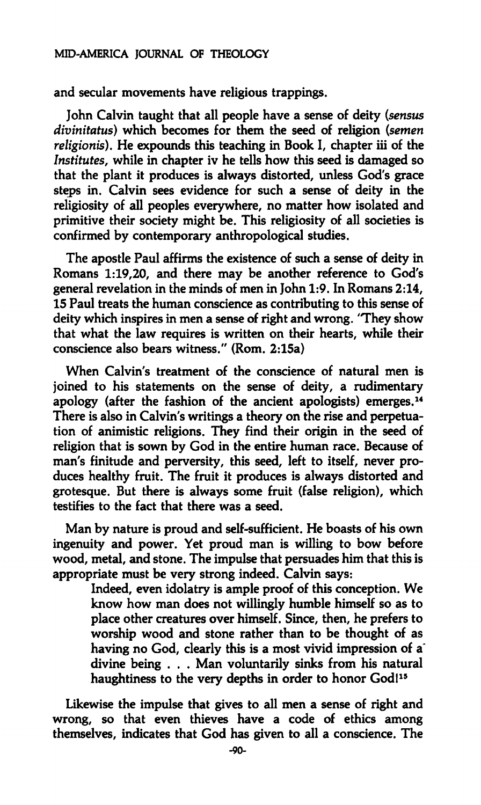#### **MID-AMERICA JOURNAL OF THEOLOGY**

**and secular movements have religious trappings.** 

**John Calvin taught that all people have a sense of deity** *(sensus divinitatus)* **which becomes for them the seed of religion** *(semen religionis).* **He expounds this teaching in Book I, chapter iii of the**  *Institutes,* **while in chapter iv he tells how this seed is damaged so that the plant it produces is always distorted, unless God's grace steps in. Calvin sees evidence for such a sense of deity in the religiosity of all peoples everywhere, no matter how isolated and primitive their society might be. This religiosity of all societies is confirmed by contemporary anthropological studies.** 

**The apostle Paul affirms the existence of such a sense of deity in Romans 1:19,20, and there may be another reference to God's general revelation in the minds of men in John 1:9. In Romans 2:14, 15 Paul treats the human conscience as contributing to this sense of deity which inspires in men a sense of right and wrong. 'They show that what the law requires is written on their hearts, while their conscience also bears witness." (Rom. 2:15a)** 

**When Calvin's treatment of the conscience of natural men is joined to his statements on the sense of deity, a rudimentary apology (after the fashion of the ancient apologists) emerges.<sup>14</sup> There is also in Calvin's writings a theory on the rise and perpetuation of animistic religions. They find their origin in the seed of religion that is sown by God in the entire human race. Because of man's finitude and perversity, this seed, left to itself, never produces healthy fruit. The fruit it produces is always distorted and grotesque. But there is always some fruit (false religion), which testifies to the fact that there was a seed.** 

**Man by nature is proud and self-sufficient. He boasts of his own ingenuity and power. Yet proud man is willing to bow before wood, metal, and stone. The impulse that persuades him that this is appropriate must be very strong indeed. Calvin says:** 

**Indeed, even idolatry is ample proof of this conception. We know how man does not willingly humble himself so as to place other creatures over himself. Since, then, he prefers to worship wood and stone rather than to be thought of as**  having no God, clearly this is a most vivid impression of a<sup>\*</sup> **divine being . . . Man voluntarily sinks from his natural haughtiness to the very depths in order to honor God!<sup>15</sup>**

**Likewise the impulse that gives to all men a sense of right and wrong, so that even thieves have a code of ethics among themselves, indicates that God has given to all a conscience. The**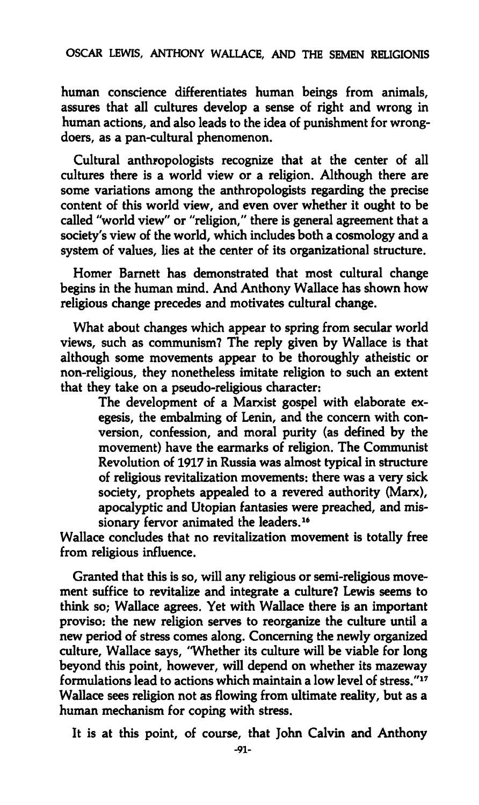### **OSCAR LEWIS, ANTHONY WALLACE, AND THE SEMEN RELIGIONIS**

**human conscience differentiates human beings from animals, assures that all cultures develop a sense of right and wrong in human actions, and also leads to the idea of punishment for wrongdoers, as a pan-cultural phenomenon.** 

**Cultural anthropologists recognize that at the center of all cultures there is a world view or a religion. Although there are some variations among the anthropologists regarding the precise content of this world view, and even over whether it ought to be called "world view" or "religion," there is general agreement that a society's view of the world, which includes both a cosmology and a system of values, lies at the center of its organizational structure.** 

**Homer Barnett has demonstrated that most cultural change begins in the human mind. And Anthony Wallace has shown how religious change precedes and motivates cultural change.** 

**What about changes which appear to spring from secular world views, such as communism? The reply given by Wallace is that although some movements appear to be thoroughly atheistic or non-religious, they nonetheless imitate religion to such an extent that they take on a pseudo-religious character:** 

> **The development of a Marxist gospel with elaborate exegesis, the embalming of Lenin, and the concern with conversion, confession, and moral purity (as defined by the movement) have the earmarks of religion. The Communist Revolution of 1917 in Russia was almost typical in structure of religious revitalization movements: there was a very sick society, prophets appealed to a revered authority (Marx), apocalyptic and Utopian fantasies were preached, and missionary fervor animated the leaders.<sup>16</sup>**

**Wallace concludes that no revitalization movement is totally free from religious influence.** 

**Granted that this is so, will any religious or semi-religious movement suffice to revitalize and integrate a culture? Lewis seems to**  think so; Wallace agrees. Yet with Wallace there is an important **proviso: the new religion serves to reorganize the culture until a new period of stress comes along. Concerning the newly organized culture, Wallace says, "Whether its culture will be viable for long beyond this point, however, will depend on whether its mazeway formulations lead to actions which maintain a low level of stress."<sup>17</sup> Wallace sees religion not as flowing from ultimate reality, but as a human mechanism for coping with stress.** 

**It is at this point, of course, that John Calvin and Anthony**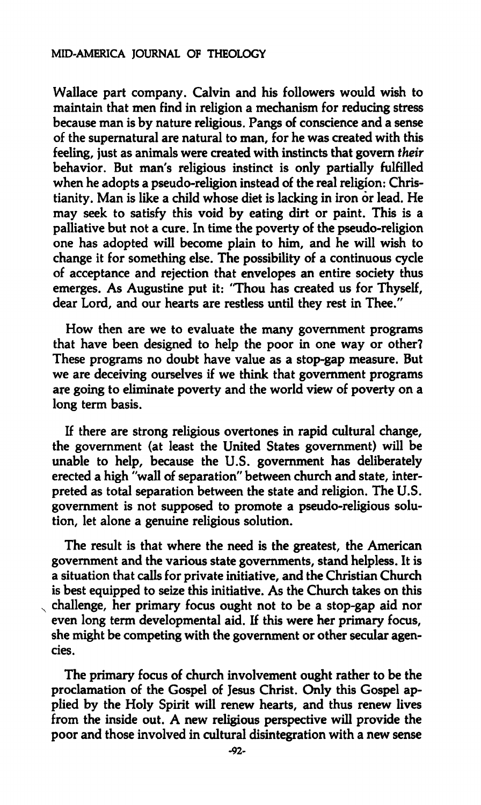### **MID-AMERICA JOURNAL OF THEOLOGY**

**Wallace part company. Calvin and his followers would wish to maintain that men find in religion a mechanism for reducing stress because man is by nature religious. Pangs of conscience and a sense of the supernatural are natural to man, for he was created with this feeling, just as animals were created with instincts that govern** *their*  **behavior. But man's religious instinct is only partially fulfilled when he adopts a pseudo-religion instead of the real religion: Christianity. Man is like a child whose diet is lacking in iron or lead. He may seek to satisfy this void by eating dirt or paint. This is a palliative but not a cure. In time the poverty of the pseudo-religion one has adopted will become plain to him, and he will wish to change it for something else. The possibility of a continuous cycle of acceptance and rejection that envelopes an entire society thus emerges. As Augustine put it: "Thou has created us for Thyself, dear Lord, and our hearts are restless until they rest in Thee."** 

**How then are we to evaluate the many government programs that have been designed to help the poor in one way or other? These programs no doubt have value as a stop-gap measure. But we are deceiving ourselves if we think that government programs are going to eliminate poverty and the world view of poverty on a long term basis.** 

**If there are strong religious overtones in rapid cultural change, the government (at least the United States government) will be unable to help, because the U.S. government has deliberately erected a high "wall of separation" between church and state, interpreted as total separation between the state and religion. The U.S. government is not supposed to promote a pseudo-religious solution, let alone a genuine religious solution.** 

**The result is that where the need is the greatest, the American government and the various state governments, stand helpless. It is a situation that calls for private initiative, and the Christian Church is best equipped to seize this initiative. As the Church takes on this challenge, her primary focus ought not to be a stop-gap aid nor even long term developmental aid. If this were her primary focus, she might be competing with the government or other secular agencies.** 

**The primary focus of church involvement ought rather to be the proclamation of the Gospel of Jesus Christ. Only this Gospel applied by the Holy Spirit will renew hearts, and thus renew lives from the inside out. A new religious perspective will provide the poor and those involved in cultural disintegration with a new sense**